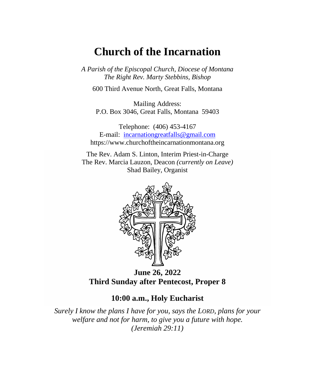# **Church of the Incarnation**

*A Parish of the Episcopal Church, Diocese of Montana The Right Rev. Marty Stebbins, Bishop*

600 Third Avenue North, Great Falls, Montana

Mailing Address: P.O. Box 3046, Great Falls, Montana 59403

Telephone: (406) 453-4167 E-mail: [incarnationgreatfalls@gmail.com](mailto:incarnationgreatfalls@gmail.com) https://www.churchoftheincarnationmontana.org

The Rev. Adam S. Linton, Interim Priest-in-Charge The Rev. Marcia Lauzon, Deacon *(currently on Leave)* Shad Bailey, Organist



**June 26, 2022 Third Sunday after Pentecost, Proper 8**

#### **10:00 a.m., Holy Eucharist**

*Surely I know the plans I have for you, says the LORD, plans for your welfare and not for harm, to give you a future with hope. (Jeremiah 29:11)*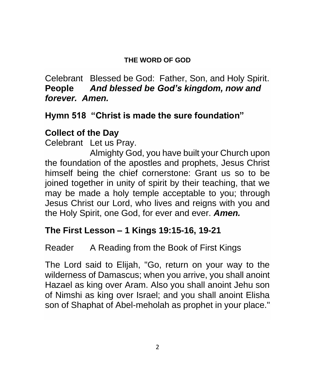#### **THE WORD OF GOD**

Celebrant Blessed be God: Father, Son, and Holy Spirit. **People** *And blessed be God's kingdom, now and forever. Amen.*

# **Hymn 518 "Christ is made the sure foundation"**

# **Collect of the Day**

Celebrant Let us Pray.

Almighty God, you have built your Church upon the foundation of the apostles and prophets, Jesus Christ himself being the chief cornerstone: Grant us so to be joined together in unity of spirit by their teaching, that we may be made a holy temple acceptable to you; through Jesus Christ our Lord, who lives and reigns with you and the Holy Spirit, one God, for ever and ever. *Amen.*

#### **The First Lesson – 1 Kings 19:15-16, 19-21**

## Reader A Reading from the Book of First Kings

The Lord said to Elijah, "Go, return on your way to the wilderness of Damascus; when you arrive, you shall anoint Hazael as king over Aram. Also you shall anoint Jehu son of Nimshi as king over Israel; and you shall anoint Elisha son of Shaphat of Abel-meholah as prophet in your place."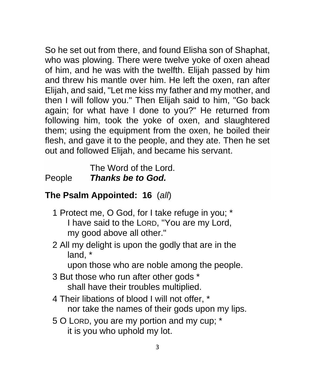So he set out from there, and found Elisha son of Shaphat, who was plowing. There were twelve yoke of oxen ahead of him, and he was with the twelfth. Elijah passed by him and threw his mantle over him. He left the oxen, ran after Elijah, and said, "Let me kiss my father and my mother, and then I will follow you." Then Elijah said to him, "Go back again; for what have I done to you?" He returned from following him, took the yoke of oxen, and slaughtered them; using the equipment from the oxen, he boiled their flesh, and gave it to the people, and they ate. Then he set out and followed Elijah, and became his servant.

The Word of the Lord. People *Thanks be to God.*

## **The Psalm Appointed: 16** (*all*)

- 1 Protect me, O God, for I take refuge in you; \* I have said to the LORD, "You are my Lord, my good above all other."
- 2 All my delight is upon the godly that are in the land, \*

upon those who are noble among the people.

- 3 But those who run after other gods \* shall have their troubles multiplied.
- 4 Their libations of blood I will not offer, \* nor take the names of their gods upon my lips.
- 5 O LORD, you are my portion and my cup; \* it is you who uphold my lot.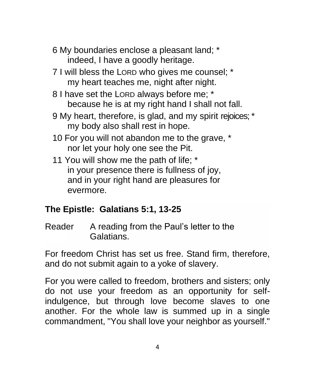- 6 My boundaries enclose a pleasant land; \* indeed, I have a goodly heritage.
- 7 I will bless the LORD who gives me counsel; \* my heart teaches me, night after night.
- 8 I have set the LORD always before me; \* because he is at my right hand I shall not fall.
- 9 My heart, therefore, is glad, and my spirit rejoices; \* my body also shall rest in hope.
- 10 For you will not abandon me to the grave, \* nor let your holy one see the Pit.
- 11 You will show me the path of life; \* in your presence there is fullness of joy, and in your right hand are pleasures for evermore.

# **The Epistle: Galatians 5:1, 13-25**

Reader A reading from the Paul's letter to the Galatians.

For freedom Christ has set us free. Stand firm, therefore, and do not submit again to a yoke of slavery.

For you were called to freedom, brothers and sisters; only do not use your freedom as an opportunity for selfindulgence, but through love become slaves to one another. For the whole law is summed up in a single commandment, "You shall love your neighbor as yourself."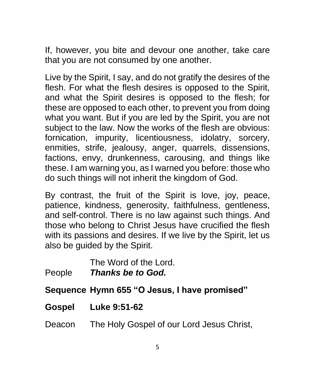If, however, you bite and devour one another, take care that you are not consumed by one another.

Live by the Spirit, I say, and do not gratify the desires of the flesh. For what the flesh desires is opposed to the Spirit, and what the Spirit desires is opposed to the flesh; for these are opposed to each other, to prevent you from doing what you want. But if you are led by the Spirit, you are not subject to the law. Now the works of the flesh are obvious: fornication, impurity, licentiousness, idolatry, sorcery, enmities, strife, jealousy, anger, quarrels, dissensions, factions, envy, drunkenness, carousing, and things like these. I am warning you, as I warned you before: those who do such things will not inherit the kingdom of God.

By contrast, the fruit of the Spirit is love, joy, peace, patience, kindness, generosity, faithfulness, gentleness, and self-control. There is no law against such things. And those who belong to Christ Jesus have crucified the flesh with its passions and desires. If we live by the Spirit, let us also be guided by the Spirit.

The Word of the Lord. People *Thanks be to God.*

**Sequence Hymn 655 "O Jesus, I have promised"**

- **Gospel Luke 9:51-62**
- Deacon The Holy Gospel of our Lord Jesus Christ,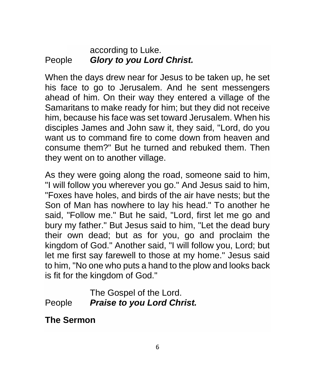#### according to Luke. People *Glory to you Lord Christ.*

When the days drew near for Jesus to be taken up, he set his face to go to Jerusalem. And he sent messengers ahead of him. On their way they entered a village of the Samaritans to make ready for him; but they did not receive him, because his face was set toward Jerusalem. When his disciples James and John saw it, they said, "Lord, do you want us to command fire to come down from heaven and consume them?" But he turned and rebuked them. Then they went on to another village.

As they were going along the road, someone said to him, "I will follow you wherever you go." And Jesus said to him, "Foxes have holes, and birds of the air have nests; but the Son of Man has nowhere to lay his head." To another he said, "Follow me." But he said, "Lord, first let me go and bury my father." But Jesus said to him, "Let the dead bury their own dead; but as for you, go and proclaim the kingdom of God." Another said, "I will follow you, Lord; but let me first say farewell to those at my home." Jesus said to him, "No one who puts a hand to the plow and looks back is fit for the kingdom of God."

#### The Gospel of the Lord. People *Praise to you Lord Christ.*

## **The Sermon**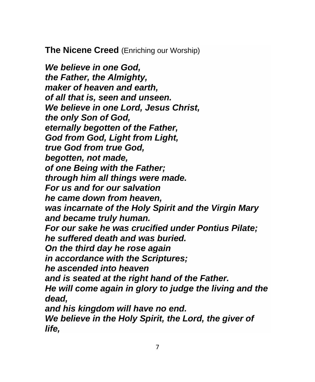**The Nicene Creed** (Enriching our Worship)

*We believe in one God, the Father, the Almighty, maker of heaven and earth, of all that is, seen and unseen. We believe in one Lord, Jesus Christ, the only Son of God, eternally begotten of the Father, God from God, Light from Light, true God from true God, begotten, not made, of one Being with the Father; through him all things were made. For us and for our salvation he came down from heaven, was incarnate of the Holy Spirit and the Virgin Mary and became truly human. For our sake he was crucified under Pontius Pilate; he suffered death and was buried. On the third day he rose again in accordance with the Scriptures; he ascended into heaven and is seated at the right hand of the Father. He will come again in glory to judge the living and the dead, and his kingdom will have no end. We believe in the Holy Spirit, the Lord, the giver of life,*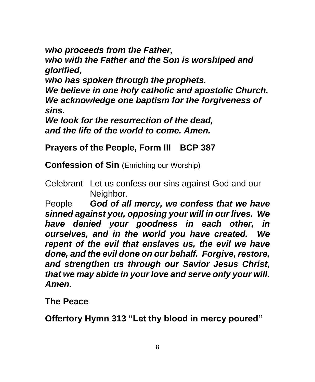*who proceeds from the Father,*

*who with the Father and the Son is worshiped and glorified,*

*who has spoken through the prophets.*

*We believe in one holy catholic and apostolic Church. We acknowledge one baptism for the forgiveness of sins.*

*We look for the resurrection of the dead, and the life of the world to come. Amen.*

## **Prayers of the People, Form III BCP 387**

**Confession of Sin** (Enriching our Worship)

Celebrant Let us confess our sins against God and our Neighbor.

People *God of all mercy, we confess that we have sinned against you, opposing your will in our lives. We have denied your goodness in each other, in ourselves, and in the world you have created. We repent of the evil that enslaves us, the evil we have done, and the evil done on our behalf. Forgive, restore, and strengthen us through our Savior Jesus Christ, that we may abide in your love and serve only your will. Amen.*

**The Peace**

**Offertory Hymn 313 "Let thy blood in mercy poured"**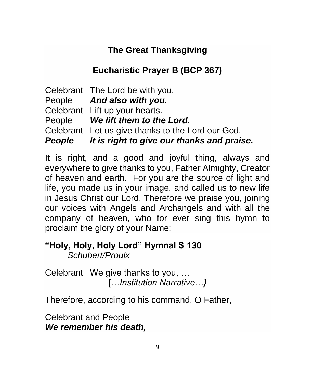# **The Great Thanksgiving**

# **Eucharistic Prayer B (BCP 367)**

Celebrant The Lord be with you. People *And also with you.* Celebrant Lift up your hearts. People *We lift them to the Lord.* Celebrant Let us give thanks to the Lord our God. *People It is right to give our thanks and praise.*

It is right, and a good and joyful thing, always and everywhere to give thanks to you, Father Almighty, Creator of heaven and earth. For you are the source of light and life, you made us in your image, and called us to new life in Jesus Christ our Lord. Therefore we praise you, joining our voices with Angels and Archangels and with all the company of heaven, who for ever sing this hymn to proclaim the glory of your Name:

#### **"Holy, Holy, Holy Lord" Hymnal S 130** *Schubert/Proulx*

Celebrant We give thanks to you, … [*…Institution Narrative…}*

Therefore, according to his command, O Father,

Celebrant and People *We remember his death,*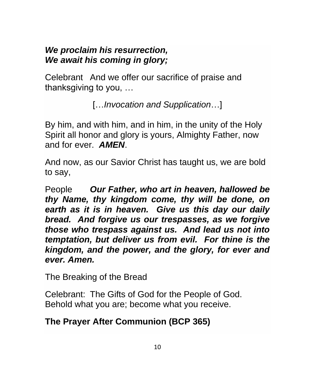#### *We proclaim his resurrection, We await his coming in glory;*

Celebrant And we offer our sacrifice of praise and thanksgiving to you, …

[…*Invocation and Supplication*…]

By him, and with him, and in him, in the unity of the Holy Spirit all honor and glory is yours, Almighty Father, now and for ever. *AMEN*.

And now, as our Savior Christ has taught us, we are bold to say,

People *Our Father, who art in heaven, hallowed be thy Name, thy kingdom come, thy will be done, on earth as it is in heaven. Give us this day our daily bread. And forgive us our trespasses, as we forgive those who trespass against us. And lead us not into temptation, but deliver us from evil. For thine is the kingdom, and the power, and the glory, for ever and ever. Amen.*

The Breaking of the Bread

Celebrant: The Gifts of God for the People of God. Behold what you are; become what you receive.

## **The Prayer After Communion (BCP 365)**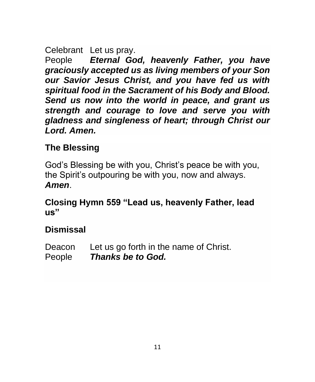#### Celebrant Let us pray.

People *Eternal God, heavenly Father, you have graciously accepted us as living members of your Son our Savior Jesus Christ, and you have fed us with spiritual food in the Sacrament of his Body and Blood. Send us now into the world in peace, and grant us strength and courage to love and serve you with gladness and singleness of heart; through Christ our Lord. Amen.*

# **The Blessing**

God's Blessing be with you, Christ's peace be with you, the Spirit's outpouring be with you, now and always. *Amen*.

#### **Closing Hymn 559 "Lead us, heavenly Father, lead us"**

# **Dismissal**

Deacon Let us go forth in the name of Christ. People *Thanks be to God.*